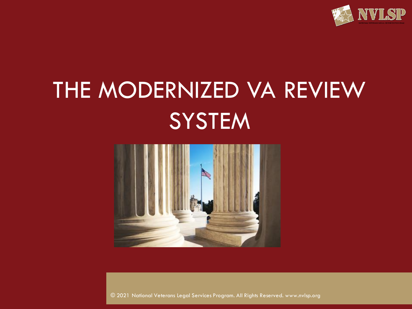

# THE MODERNIZED VA REVIEW **SYSTEM**



© 2021 National Veterans Legal Services Program. All Rights Reserved. www.nvlsp.org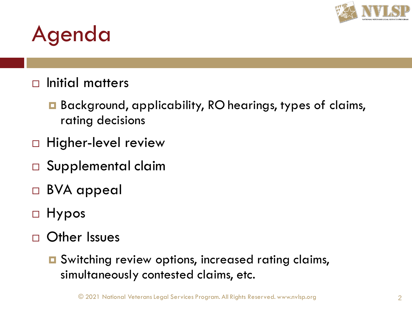

#### Agenda

#### $\Box$  Initial matters

- Background, applicability, RO hearings, types of claims, rating decisions
- □ Higher-level review
- □ Supplemental claim
- BVA appeal
- Hypos
- Other Issues
	- **□** Switching review options, increased rating claims, simultaneously contested claims, etc.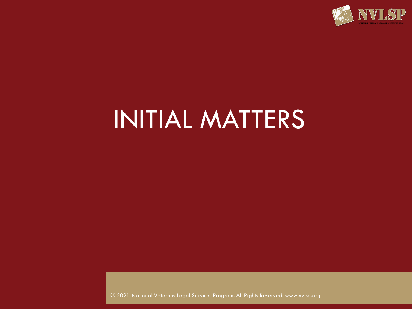

# INITIAL MATTERS

© 2021 National Veterans Legal Services Program. All Rights Reserved. www.nvlsp.org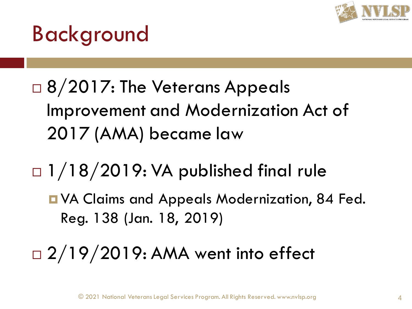

#### Background

- □ 8/2017: The Veterans Appeals Improvement and Modernization Act of 2017 (AMA) became law
- $\Box$  1/18/2019: VA published final rule
	- **D** VA Claims and Appeals Modernization, 84 Fed. Reg. 138 (Jan. 18, 2019)
- □ 2/19/2019: AMA went into effect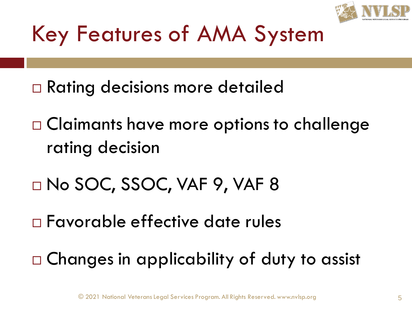

#### Key Features of AMA System

- Rating decisions more detailed
- □ Claimants have more options to challenge rating decision
- No SOC, SSOC, VAF 9, VAF 8
- Favorable effective date rules
- Changes in applicability of duty to assist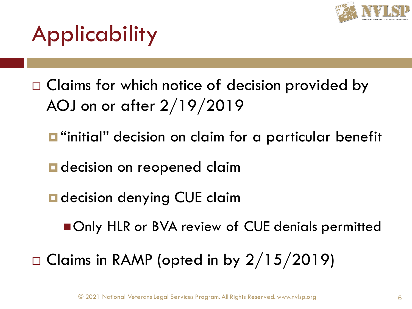

#### Applicability

- □ Claims for which notice of decision provided by AOJ on or after 2/19/2019
	- $\blacksquare$  "initial" decision on claim for a particular benefit
	- **d** decision on reopened claim
	- **D** decision denying CUE claim
		- Only HLR or BVA review of CUE denials permitted

 $\Box$  Claims in RAMP (opted in by 2/15/2019)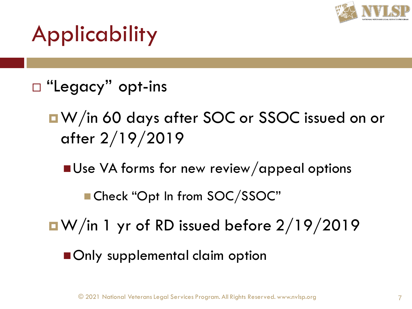

#### Applicability

- $\Box$  "Legacy" opt-ins
	- ■W/in 60 days after SOC or SSOC issued on or after 2/19/2019
		- Use VA forms for new review/appeal options
			- Check "Opt In from SOC/SSOC"
	- $\blacksquare$  W/in 1 yr of RD issued before 2/19/2019
		- Only supplemental claim option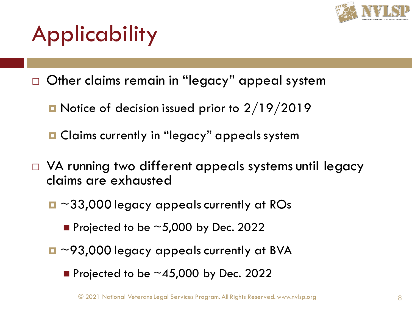

# Applicability

- Other claims remain in "legacy" appeal system
	- **D** Notice of decision issued prior to  $2/19/2019$
	- **□** Claims currently in "legacy" appeals system
- $\Box$  VA running two different appeals systems until legacy claims are exhausted
	- ~33,000 legacy appeals currently at ROs
		- $\blacksquare$  Projected to be  $\sim$  5,000 by Dec. 2022
	- $\Box \sim$ 93,000 legacy appeals currently at BVA
		- $\blacksquare$  Projected to be  $\sim$  45,000 by Dec. 2022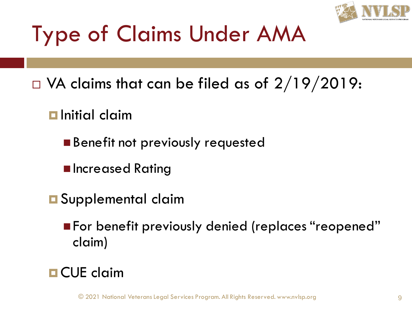

# Type of Claims Under AMA

- $\Box$  VA claims that can be filed as of 2/19/2019:
	- $\blacksquare$  Initial claim
		- Benefit not previously requested
		- Increased Rating
	- **O** Supplemental claim
		- For benefit previously denied (replaces "reopened" claim)

#### **D** CUE claim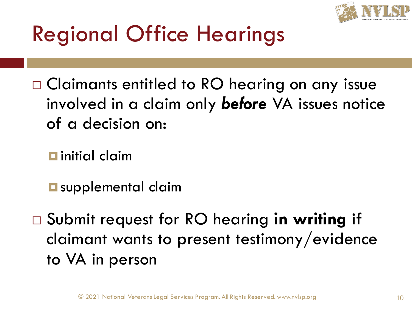

#### Regional Office Hearings

□ Claimants entitled to RO hearing on any issue involved in a claim only *before* VA issues notice of a decision on:

 $\blacksquare$  initial claim

**<u>E</u>** supplemental claim

 Submit request for RO hearing **in writing** if claimant wants to present testimony/evidence to VA in person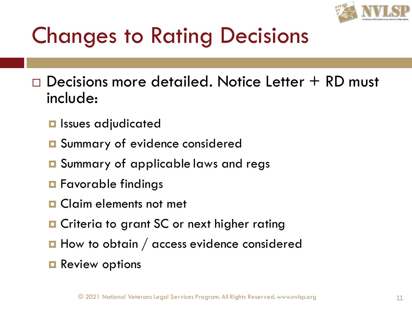

#### Changes to Rating Decisions

 $\Box$  Decisions more detailed. Notice Letter  $+$  RD must include:

- **<u><b>u**</u> Issues adjudicated
- **□** Summary of evidence considered
- **□** Summary of applicable laws and regs
- **n** Favorable findings
- **O** Claim elements not met
- **O** Criteria to grant SC or next higher rating
- $\blacksquare$  How to obtain / access evidence considered
- **Review options**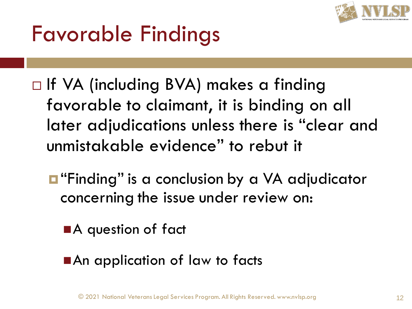

#### Favorable Findings

- □ If VA (including BVA) makes a finding favorable to claimant, it is binding on all later adjudications unless there is "clear and unmistakable evidence" to rebut it
	- $\blacksquare$  "Finding" is a conclusion by a VA adjudicator concerning the issue under review on:
		- ■A question of fact
		- ■An application of law to facts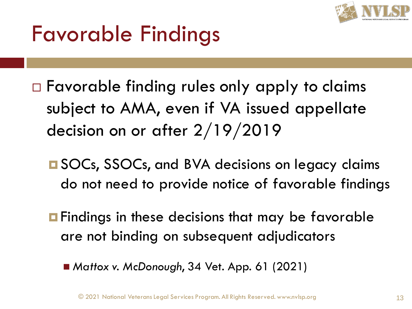

#### Favorable Findings

- Favorable finding rules only apply to claims subject to AMA, even if VA issued appellate decision on or after 2/19/2019
	- **□ SOCs, SSOCs, and BVA decisions on legacy claims** do not need to provide notice of favorable findings
	- **<u>E</u>** Findings in these decisions that may be favorable are not binding on subsequent adjudicators
		- *Mattox v. McDonough,* 34 Vet. App. 61 (2021)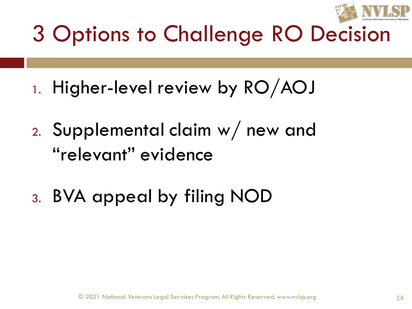

- 1. Higher-level review by RO/AOJ
- 2. Supplemental claim w/ new and "relevant" evidence
- 3. BVA appeal by filing NOD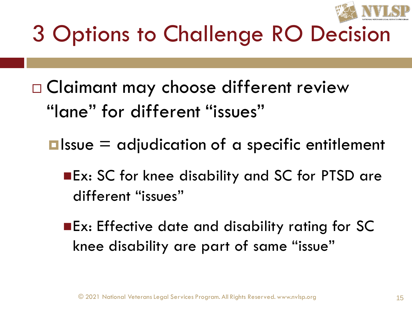

- □ Claimant may choose different review "lane" for different "issues"
	- $\square$  Issue  $\square$  adjudication of a specific entitlement
		- ■Ex: SC for knee disability and SC for PTSD are different "issues"
		- ■Ex: Effective date and disability rating for SC knee disability are part of same "issue"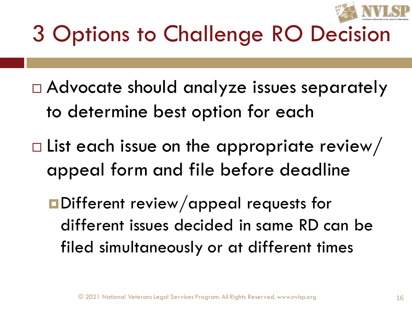

- Advocate should analyze issues separately to determine best option for each
- $\square$  List each issue on the appropriate review/ appeal form and file before deadline
	- **<u></u>Different review/appeal requests for** different issues decided in same RD can be filed simultaneously or at different times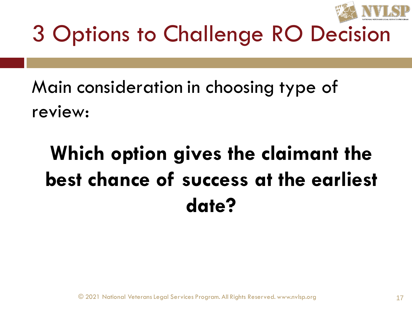

Main consideration in choosing type of review:

#### **Which option gives the claimant the best chance of success at the earliest date?**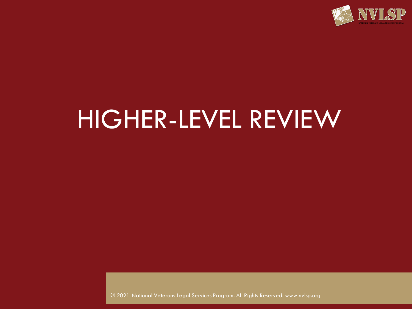

## HIGHER-LEVEL REVIEW

© 2021 National Veterans Legal Services Program. All Rights Reserved. www.nvlsp.org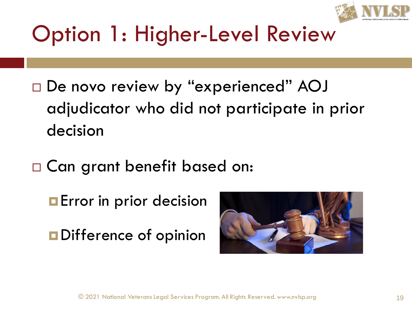

- □ De novo review by "experienced" AOJ adjudicator who did not participate in prior decision
- □ Can grant benefit based on:
	- **Example 18 Formal Prior**
	- **O** Difference of opinion

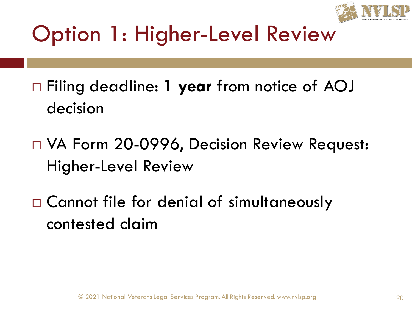

- Filing deadline: **1 year** from notice of AOJ decision
- □ VA Form 20-0996, Decision Review Request: Higher-Level Review
- □ Cannot file for denial of simultaneously contested claim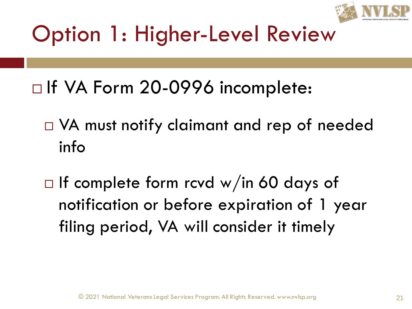

- □ If VA Form 20-0996 incomplete:
	- $\Box$  VA must notify claimant and rep of needed info
	- $\Box$  If complete form rcvd w/in 60 days of notification or before expiration of 1 year filing period, VA will consider it timely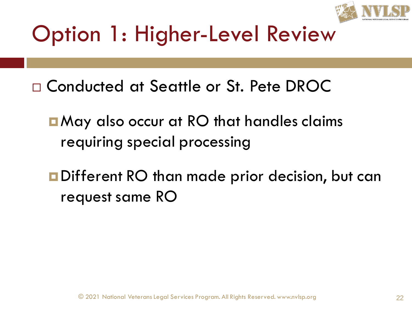

- Conducted at Seattle or St. Pete DROC
	- May also occur at RO that handles claims requiring special processing
	- **<u>n</u>Different RO than made prior decision, but can** request same RO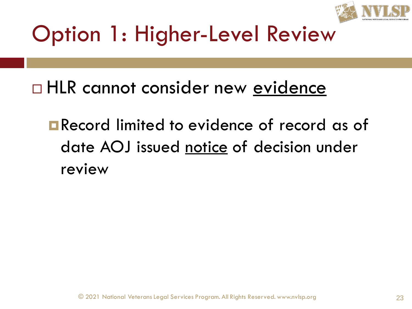

□ HLR cannot consider new evidence

**E** Record limited to evidence of record as of date AOJ issued notice of decision under review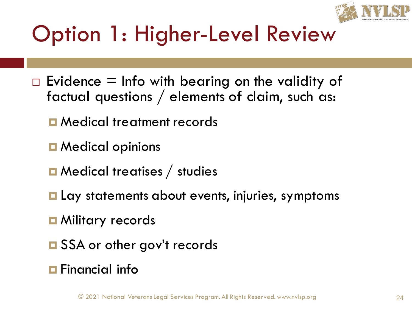

- $\Box$  Evidence = Info with bearing on the validity of factual questions / elements of claim, such as:
	- **D** Medical treatment records
	- **D** Medical opinions
	- **□** Medical treatises / studies
	- **Lay statements about events, injuries, symptoms**
	- **D** Military records
	- **□** SSA or other gov't records
	- **Financial info**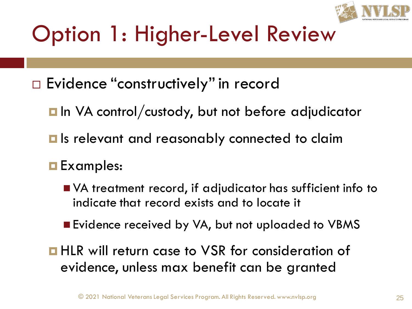

□ Evidence "constructively" in record

- **In** VA control/custody, but not before adjudicator
- **Is relevant and reasonably connected to claim**

#### **Examples:**

- VA treatment record, if adjudicator has sufficient info to indicate that record exists and to locate it
- Evidence received by VA, but not uploaded to VBMS
- **HLR** will return case to VSR for consideration of evidence, unless max benefit can be granted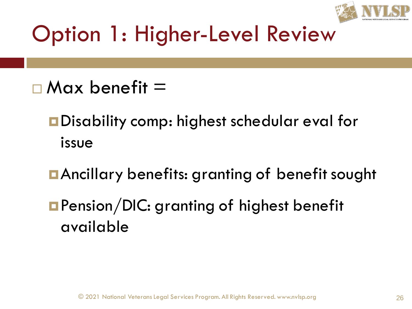

- $\Box$  Max benefit  $=$ 
	- **<u></u>**Disability comp: highest schedular eval for issue
	- Ancillary benefits: granting of benefit sought
	- **Pension/DIC: granting of highest benefit** available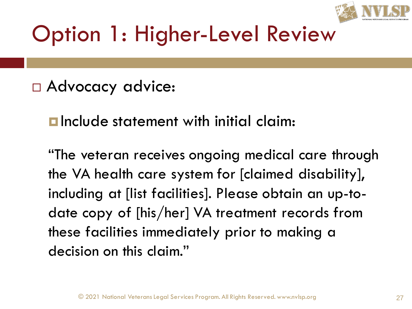

#### Advocacy advice:

**<u>E</u>** Include statement with initial claim:

"The veteran receives ongoing medical care through the VA health care system for [claimed disability], including at [list facilities]. Please obtain an up-todate copy of [his/her] VA treatment records from these facilities immediately prior to making a decision on this claim."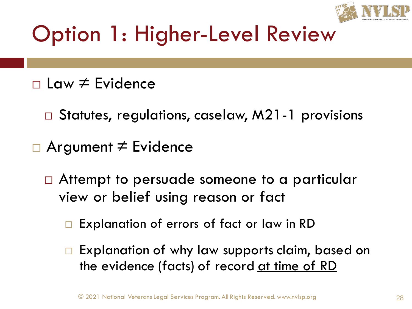

- Law ≠ Evidence
	- □ Statutes, regulations, caselaw, M21-1 provisions
- Argument ≠ Evidence
	- □ Attempt to persuade someone to a particular view or belief using reason or fact
		- Explanation of errors of fact or law in RD
		- Explanation of why law supports claim, based on the evidence (facts) of record <u>at time of RD</u>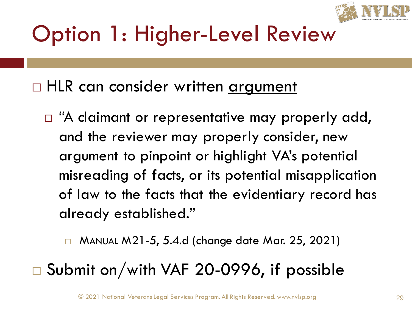

#### □ HLR can consider written argument

 $\Box$  "A claimant or representative may properly add, and the reviewer may properly consider, new argument to pinpoint or highlight VA's potential misreading of facts, or its potential misapplication of law to the facts that the evidentiary record has already established."

□ MANUAL M21-5, 5.4.d (change date Mar. 25, 2021)

#### $\square$  Submit on/with VAF 20-0996, if possible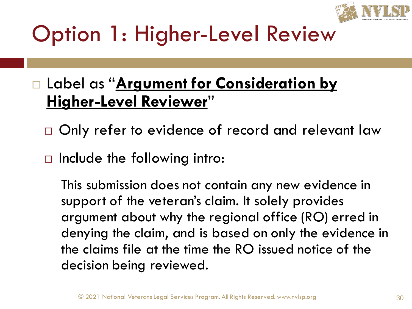

#### Label as "**Argument for Consideration by Higher-Level Reviewer**"

- $\Box$  Only refer to evidence of record and relevant law
- $\Box$  Include the following intro:

This submission does not contain any new evidence in support of the veteran's claim. It solely provides argument about why the regional office (RO) erred in denying the claim, and is based on only the evidence in the claims file at the time the RO issued notice of the decision being reviewed.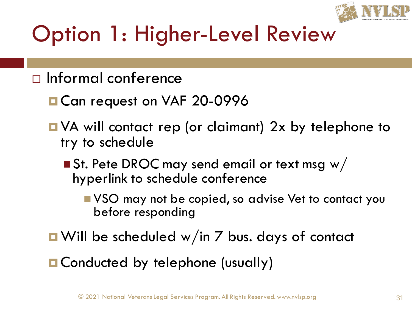

- $\Box$  Informal conference
	- Can request on VAF 20-0996
	- VA will contact rep (or claimant) 2x by telephone to try to schedule
		- $\blacksquare$  St. Pete DROC may send email or text msg w/ hyperlink to schedule conference
			- VSO may not be copied, so advise Vet to contact you before responding
	- **u** Will be scheduled w/in 7 bus. days of contact
	- Conducted by telephone (usually)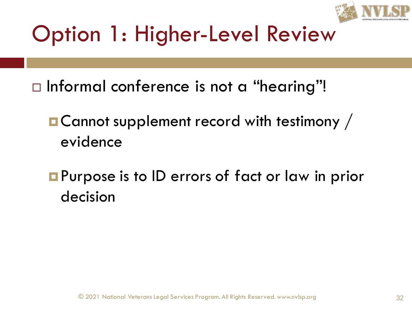

- $\Box$  Informal conference is not a "hearing"!
	- **E** Cannot supplement record with testimony / evidence
	- **Purpose is to ID errors of fact or law in prior** decision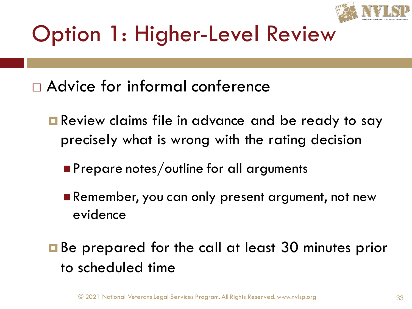

- Advice for informal conference
	- **E** Review claims file in advance and be ready to say precisely what is wrong with the rating decision
		- Prepare notes/outline for all arguments
		- Remember, you can only present argument, not new evidence
	- **Be prepared for the call at least 30 minutes prior** to scheduled time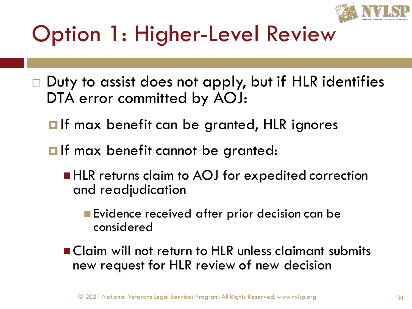

- $\Box$  Duty to assist does not apply, but if HLR identifies DTA error committed by AOJ:
	- **If max benefit can be granted, HLR ignores**
	- $\blacksquare$  If max benefit cannot be granted:
		- HLR returns claim to AOJ for expedited correction and readjudication
			- Evidence received after prior decision can be considered
		- Claim will not return to HLR unless claimant submits new request for HLR review of new decision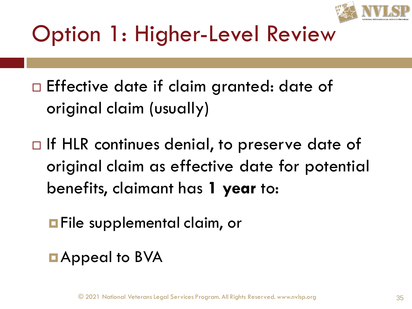

- $\Box$  Effective date if claim granted: date of original claim (usually)
- $\Box$  If HLR continues denial, to preserve date of original claim as effective date for potential benefits, claimant has **1 year** to:
	- **File supplemental claim, or**
	- **D** Appeal to BVA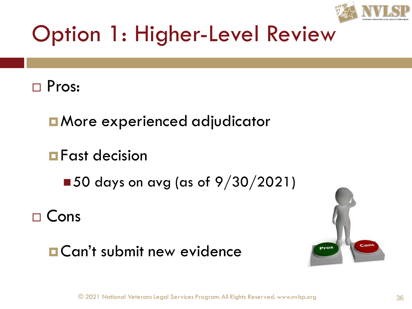



**E** More experienced adjudicator

**Fast decision** 

 $\blacksquare$  50 days on avg (as of 9/30/2021)

 $\sqcap$  Cons

#### **O**Can't submit new evidence

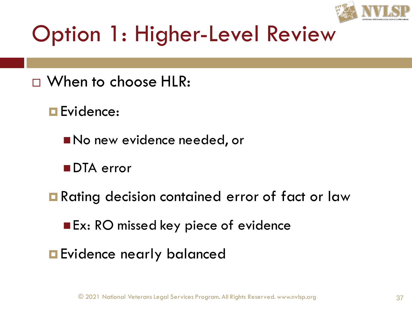

## Option 1: Higher-Level Review

- When to choose HLR:
	- **E**vidence:
		- No new evidence needed, or
		- ■DTA error
	- **Rating decision contained error of fact or law** 
		- Ex: RO missed key piece of evidence
	- **Exidence nearly balanced**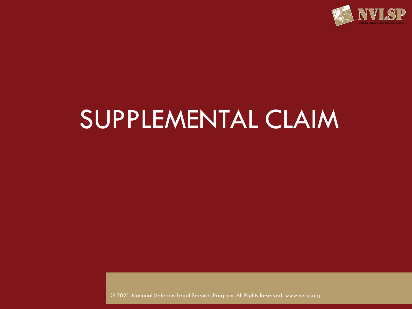

## SUPPLEMENTAL CLAIM

© 2021 National Veterans Legal Services Program. All Rights Reserved. www.nvlsp.org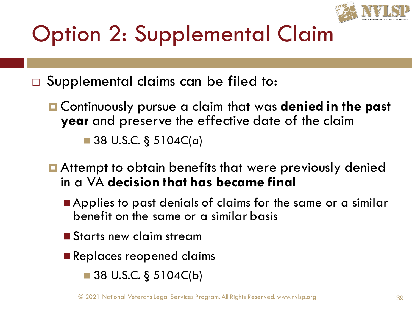

□ Supplemental claims can be filed to:

- Continuously pursue a claim that was **denied in the past year** and preserve the effective date of the claim  $\blacksquare$  38 U.S.C. § 5104C(a)
- **E** Attempt to obtain benefits that were previously denied in a VA **decision that has became final**
	- Applies to past denials of claims for the same or a similar benefit on the same or a similar basis
	- Starts new claim stream
	- Replaces reopened claims
		- $\blacksquare$  38 U.S.C. § 5104C(b)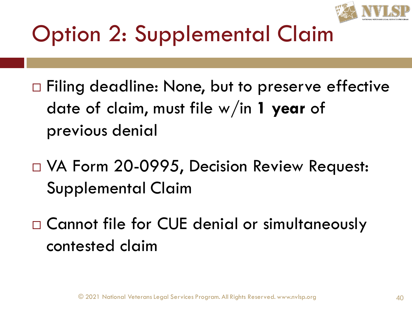

□ Filing deadline: None, but to preserve effective date of claim, must file w/in **1 year** of previous denial

□ VA Form 20-0995, Decision Review Request: Supplemental Claim

□ Cannot file for CUE denial or simultaneously contested claim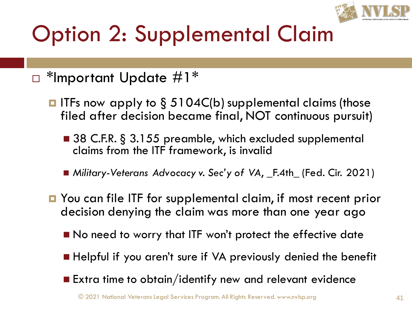

#### □ \*Important Update #1\*

- $\blacksquare$  ITFs now apply to § 5104C(b) supplemental claims (those filed after decision became final, NOT continuous pursuit)
	- 38 C.F.R. § 3.155 preamble, which excluded supplemental claims from the ITF framework, is invalid
	- *Military-Veterans Advocacy v. Sec'y of VA*, \_F.4th\_ (Fed. Cir. 2021)
- You can file ITF for supplemental claim, if most recent prior decision denying the claim was more than one year ago
	- No need to worry that ITF won't protect the effective date
	- Helpful if you aren't sure if VA previously denied the benefit
	- Extra time to obtain/identify new and relevant evidence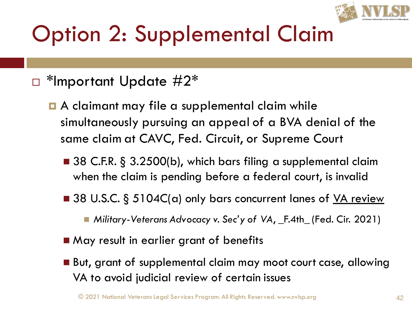

#### $\Box$  \*Important Update  $\#2^*$

- **A** claimant may file a supplemental claim while simultaneously pursuing an appeal of a BVA denial of the same claim at CAVC, Fed. Circuit, or Supreme Court
	- 38 C.F.R. § 3.2500(b), which bars filing a supplemental claim when the claim is pending before a federal court, is invalid
	- 38 U.S.C. § 5104C(a) only bars concurrent lanes of VA review
		- ◼ *Military-Veterans Advocacy v. Sec'y of VA*, \_F.4th\_ (Fed. Cir. 2021)
	- May result in earlier grant of benefits
	- But, grant of supplemental claim may moot court case, allowing VA to avoid judicial review of certain issues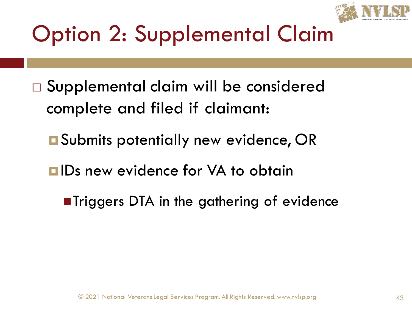

- Supplemental claim will be considered complete and filed if claimant:
	- Submits potentially new evidence, OR
	- **<u>EIDs</u>** new evidence for VA to obtain
		- ■Triggers DTA in the gathering of evidence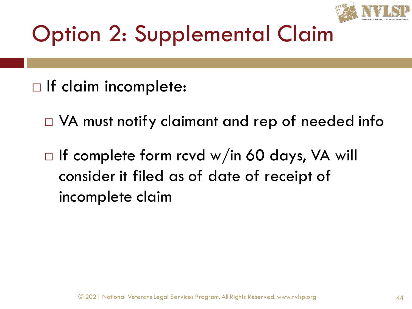

- $\Box$  If claim incomplete:
	- $\Box$  VA must notify claimant and rep of needed info
	- $\Box$  If complete form rcvd w/in 60 days, VA will consider it filed as of date of receipt of incomplete claim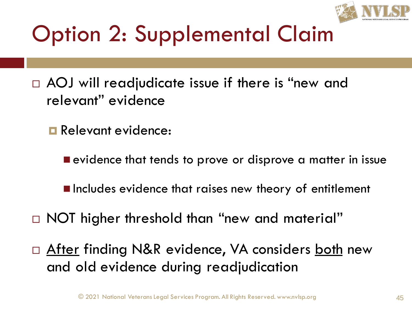

- $\Box$  AOJ will readjudicate issue if there is "new and relevant" evidence
	- **Relevant evidence:** 
		- evidence that tends to prove or disprove a matter in issue
		- Includes evidence that raises new theory of entitlement
- □ NOT higher threshold than "new and material"
- □ <u>After</u> finding N&R evidence, VA considers both new and old evidence during readjudication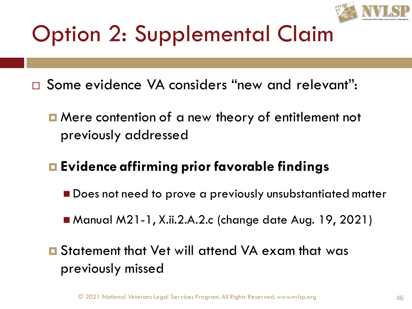

- □ Some evidence VA considers "new and relevant":
	- **O** Mere contention of a new theory of entitlement not previously addressed
	- **Evidence affirming prior favorable findings**
		- Does not need to prove a previously unsubstantiated matter
		- Manual M21-1, X.ii.2.A.2.c (change date Aug. 19, 2021)
	- Statement that Vet will attend VA exam that was previously missed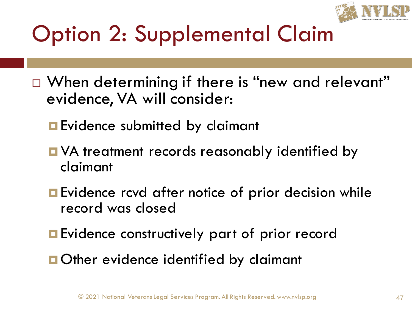

- □ When determining if there is "new and relevant" evidence, VA will consider:
	- **Exidence submitted by claimant**
	- **D** VA treatment records reasonably identified by claimant
	- **Exidence rcvd after notice of prior decision while** record was closed
	- **Exidence constructively part of prior record**
	- **Other evidence identified by claimant**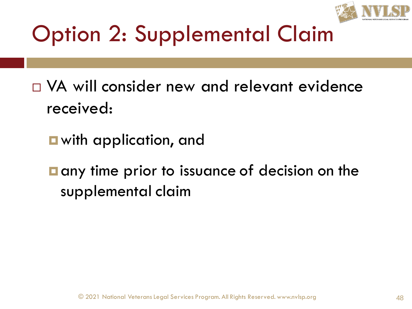

- $\Box$  VA will consider new and relevant evidence received:
	- with application, and
	- $\blacksquare$  any time prior to issuance of decision on the supplemental claim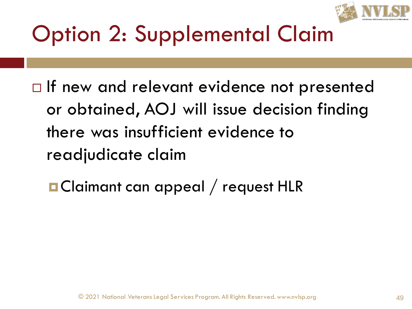

 $\Box$  If new and relevant evidence not presented or obtained, AOJ will issue decision finding there was insufficient evidence to readjudicate claim

**¤ Claimant can appeal / request HLR**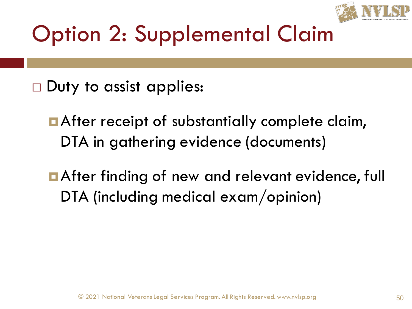

- $\Box$  Duty to assist applies:
	- **After receipt of substantially complete claim,** DTA in gathering evidence (documents)
	- **After finding of new and relevant evidence, full** DTA (including medical exam/opinion)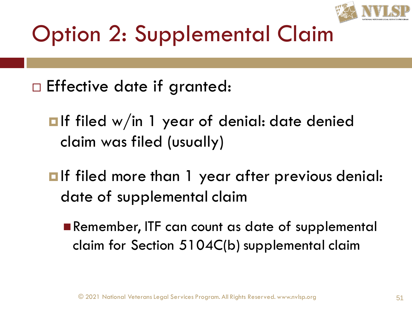

- $\square$  Effective date if granted:
	- $\blacksquare$ If filed w/in 1 year of denial: date denied claim was filed (usually)
	- $\blacksquare$ If filed more than 1 year after previous denial: date of supplemental claim
		- Remember, ITF can count as date of supplemental claim for Section 5104C(b) supplemental claim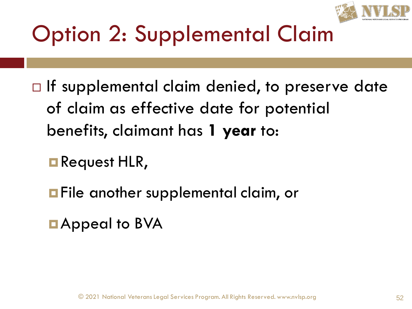

- $\Box$  If supplemental claim denied, to preserve date of claim as effective date for potential benefits, claimant has **1 year** to:
	- **Request HLR,**
	- **File another supplemental claim, or**
	- **D**Appeal to BVA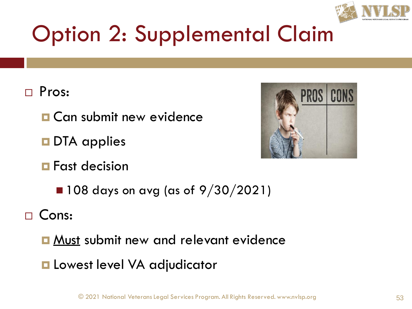

#### Pros:

- **O** Can submit new evidence
- **DTA** applies
- **<u>E</u>** Fast decision



 $\blacksquare$  108 days on avg (as of 9/30/2021)

Cons:

- **D** Must submit new and relevant evidence
- **L** Lowest level VA adjudicator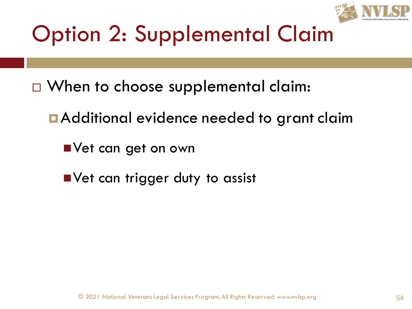

- □ When to choose supplemental claim:
	- **E** Additional evidence needed to grant claim
		- Vet can get on own
		- Vet can trigger duty to assist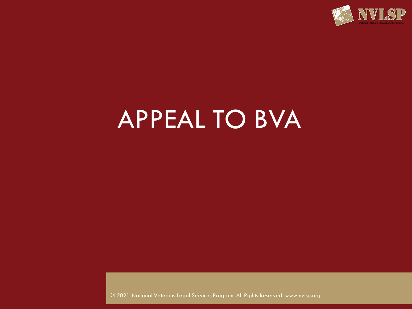

## APPEAL TO BVA

© 2021 National Veterans Legal Services Program. All Rights Reserved. www.nvlsp.org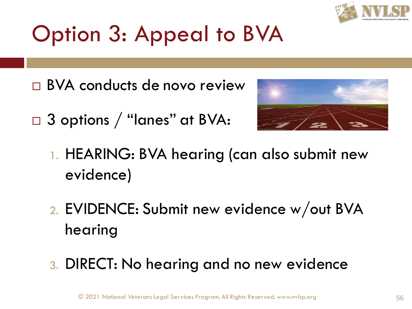

- BVA conducts de novo review
- □ 3 options / "lanes" at BVA:



- 1. HEARING: BVA hearing (can also submit new evidence)
- 2. EVIDENCE: Submit new evidence w/out BVA hearing
- 3. DIRECT: No hearing and no new evidence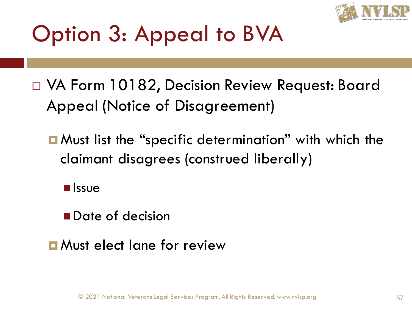

- VA Form 10182, Decision Review Request: Board Appeal (Notice of Disagreement)
	- **n** Must list the "specific determination" with which the claimant disagrees (construed liberally)
		- Issue
		- Date of decision
	- **D** Must elect lane for review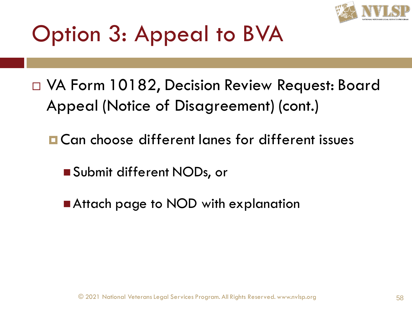

- VA Form 10182, Decision Review Request: Board Appeal (Notice of Disagreement) (cont.)
	- **O** Can choose different lanes for different issues
		- Submit different NODs, or
		- Attach page to NOD with explanation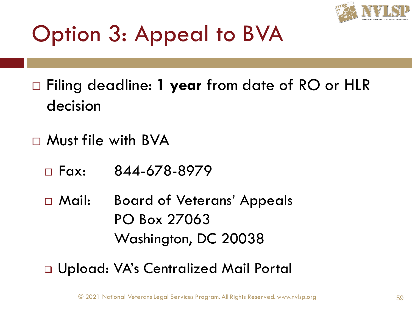

 Filing deadline: **1 year** from date of RO or HLR decision

- $\Box$  Must file with BVA
	- $\Box$  Fax: 844-678-8979

 Mail: Board of Veterans' Appeals PO Box 27063 Washington, DC 20038

❑ Upload: VA's Centralized Mail Portal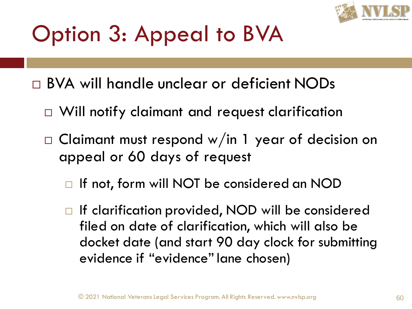

BVA will handle unclear or deficient NODs

- □ Will notify claimant and request clarification
- $\Box$  Claimant must respond w/in 1 year of decision on appeal or 60 days of request
	- □ If not, form will NOT be considered an NOD
	- □ If clarification provided, NOD will be considered filed on date of clarification, which will also be docket date (and start 90 day clock for submitting evidence if "evidence" lane chosen)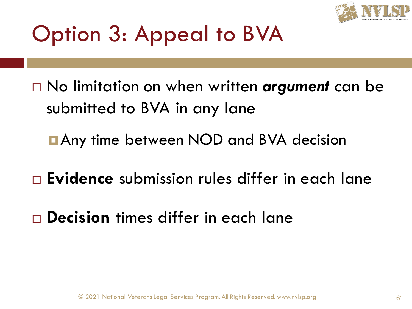

- No limitation on when written *argument* can be submitted to BVA in any lane
	- **<u>n</u> Any time between NOD and BVA decision**
- **Evidence** submission rules differ in each lane
- **Decision** times differ in each lane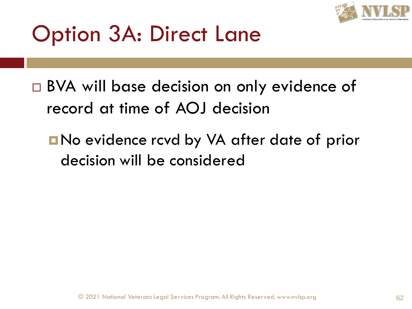

- □ BVA will base decision on only evidence of record at time of AOJ decision
	- **No evidence rcvd by VA after date of prior** decision will be considered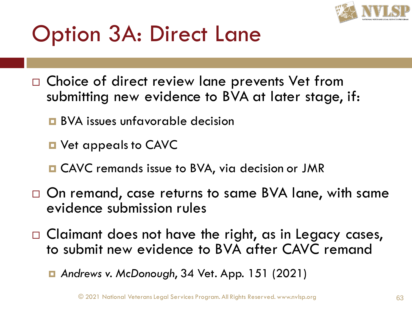

- □ Choice of direct review lane prevents Vet from submitting new evidence to BVA at later stage, if:
	- **BVA** issues unfavorable decision
	- **D** Vet appeals to CAVC
	- **□ CAVC** remands issue to BVA, via decision or JMR
- □ On remand, case returns to same BVA lane, with same evidence submission rules
- $\Box$  Claimant does not have the right, as in Legacy cases, to submit new evidence to BVA after CAVC remand

*Andrews v. McDonough*, 34 Vet. App. 151 (2021)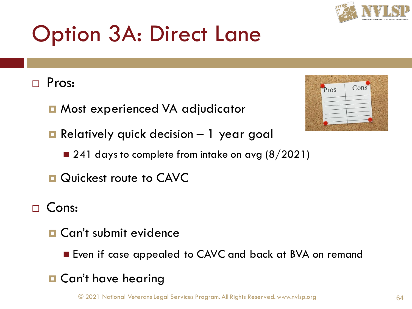

#### Pros:

■ Most experienced VA adjudicator

■ Relatively quick decision – 1 year goal

 $\blacksquare$  241 days to complete from intake on avg (8/2021)

**Quickest route to CAVC** 

#### □ Cons:

- **D** Can't submit evidence
	- Even if case appealed to CAVC and back at BVA on remand

#### **O** Can't have hearing

© 2021 National Veterans Legal Services Program. All Rights Reserved. www.nvlsp.org 64

| Pros | Cons |
|------|------|
|      |      |
|      |      |
|      |      |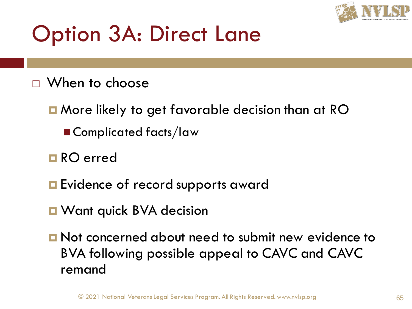

- When to choose
	- More likely to get favorable decision than at RO
		- Complicated facts/law
	- **□ RO** erred
	- **Exidence of record supports award**
	- **D** Want quick BVA decision
	- **D** Not concerned about need to submit new evidence to BVA following possible appeal to CAVC and CAVC remand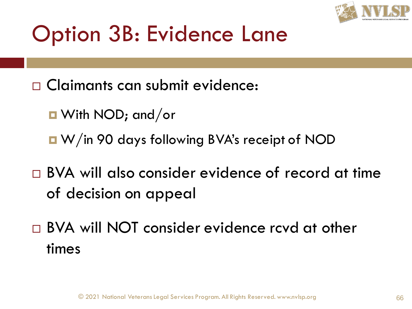

#### Option 3B: Evidence Lane

- Claimants can submit evidence:
	- With NOD; and/or
	- W/in 90 days following BVA's receipt of NOD
- □ BVA will also consider evidence of record at time of decision on appeal
- □ BVA will NOT consider evidence rcvd at other times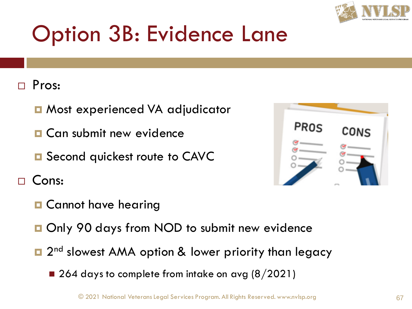

#### Option 3B: Evidence Lane

#### Pros:

- Most experienced VA adjudicator
- **D** Can submit new evidence
- **□** Second quickest route to CAVC

Cons:

PROS

- **O** Cannot have hearing
- **□ Only 90 days from NOD to submit new evidence**
- □ 2<sup>nd</sup> slowest AMA option & lower priority than legacy
	- 264 days to complete from intake on avg  $(8/2021)$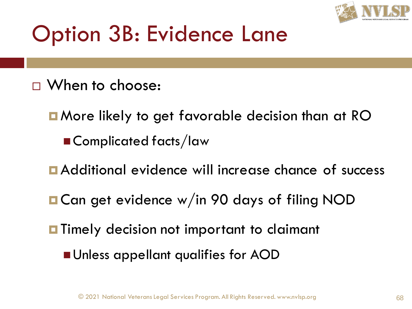

#### Option 3B: Evidence Lane

- □ When to choose:
	- **E** More likely to get favorable decision than at RO ■ Complicated facts/law
	- Additional evidence will increase chance of success
	- **D** Can get evidence w/in 90 days of filing NOD
	- **Thing** Timely decision not important to claimant
		- Unless appellant qualifies for AOD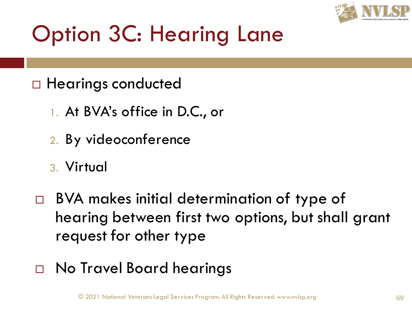

- □ Hearings conducted
	- 1. At BVA's office in D.C., or
	- 2. By videoconference
	- 3. Virtual
- □ BVA makes initial determination of type of hearing between first two options, but shall grant request for other type
- □ No Travel Board hearings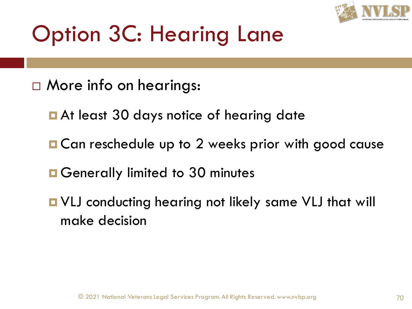

- □ More info on hearings:
	- **E** At least 30 days notice of hearing date
	- Can reschedule up to 2 weeks prior with good cause
	- **O** Generally limited to 30 minutes
	- VLJ conducting hearing not likely same VLJ that will make decision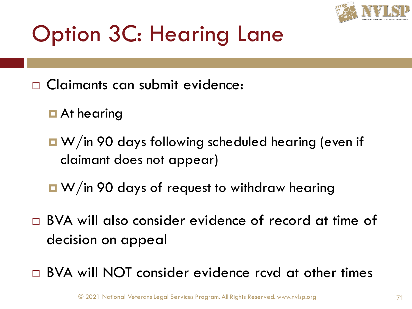

- Claimants can submit evidence:
	- **D** At hearing
	- W/in 90 days following scheduled hearing (even if claimant does not appear)
	- W/in 90 days of request to withdraw hearing
- BVA will also consider evidence of record at time of decision on appeal
- □ BVA will NOT consider evidence rcvd at other times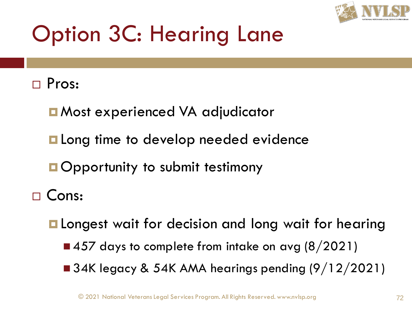

#### □ Pros:

- Most experienced VA adjudicator
- **Long time to develop needed evidence**
- **Opportunity to submit testimony**
- □ Cons:
	- **L** Longest wait for decision and long wait for hearing
		- $\blacksquare$  457 days to complete from intake on avg (8/2021)
		- $\blacksquare$  34K legacy & 54K AMA hearings pending (9/12/2021)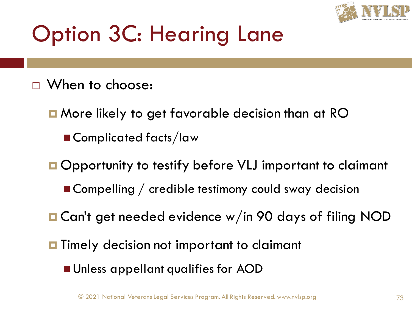

## Option 3C: Hearing Lane

- When to choose:
	- **n** More likely to get favorable decision than at RO
		- Complicated facts/law
	- Opportunity to testify before VLJ important to claimant
		- Compelling / credible testimony could sway decision
	- Can't get needed evidence w/in 90 days of filing NOD
	- **T** Timely decision not important to claimant
		- Unless appellant qualifies for AOD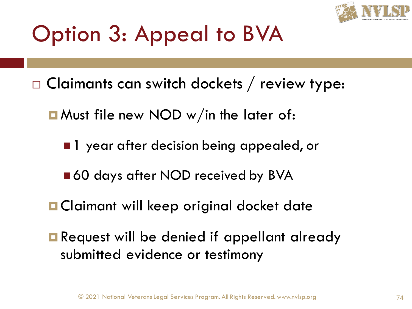

- $\Box$  Claimants can switch dockets / review type:
	- **E** Must file new NOD w/in the later of:
		- 1 year after decision being appealed, or
		- ■60 days after NOD received by BVA
	- **O** Claimant will keep original docket date
	- **Request will be denied if appellant already** submitted evidence or testimony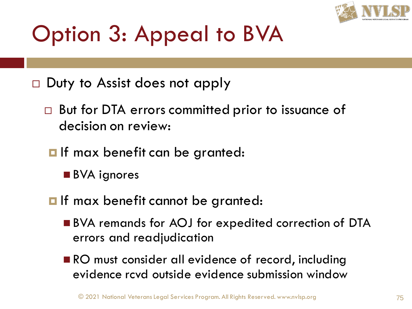

- $\Box$  Duty to Assist does not apply
	- □ But for DTA errors committed prior to issuance of decision on review:
	- $\blacksquare$  If max benefit can be granted:
		- BVA ignores
	- **O** If max benefit cannot be granted:
		- BVA remands for AOJ for expedited correction of DTA errors and readjudication
		- RO must consider all evidence of record, including evidence rcvd outside evidence submission window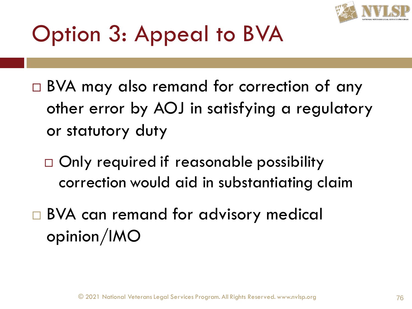

- □ BVA may also remand for correction of any other error by AOJ in satisfying a regulatory or statutory duty
	- □ Only required if reasonable possibility correction would aid in substantiating claim
- □ BVA can remand for advisory medical opinion/IMO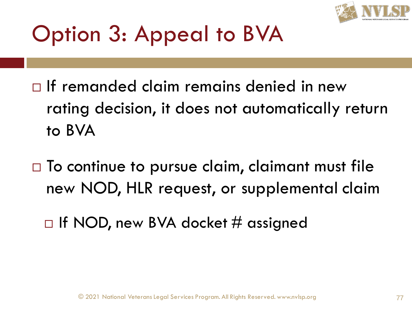

- $\Box$  If remanded claim remains denied in new rating decision, it does not automatically return to BVA
- $\Box$  To continue to pursue claim, claimant must file new NOD, HLR request, or supplemental claim
	- $\Box$  If NOD, new BVA docket # assigned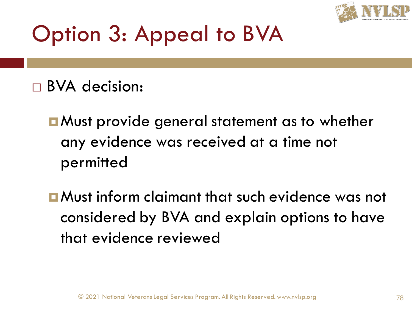

- BVA decision:
	- **E** Must provide general statement as to whether any evidence was received at a time not permitted
	- Must inform claimant that such evidence was not considered by BVA and explain options to have that evidence reviewed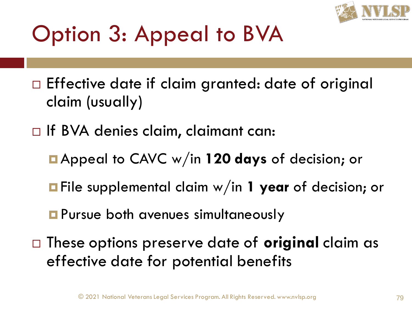

- $\Box$  Effective date if claim granted: date of original claim (usually)
- □ If BVA denies claim, claimant can:
	- Appeal to CAVC w/in **120 days** of decision; or
	- File supplemental claim w/in **1 year** of decision; or
	- **Pursue both avenues simultaneously**
- These options preserve date of **original** claim as effective date for potential benefits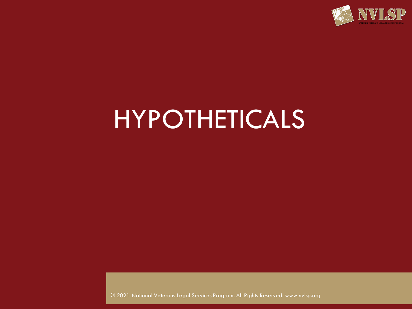

## HYPOTHETICALS

© 2021 National Veterans Legal Services Program. All Rights Reserved. www.nvlsp.org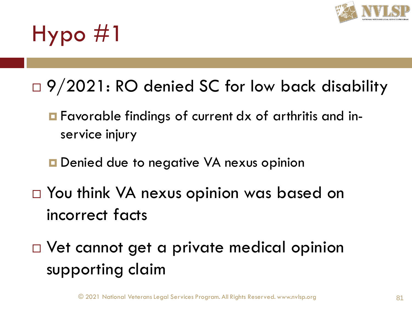

## Hypo #1

- □ 9/2021: RO denied SC for low back disability
	- Favorable findings of current dx of arthritis and inservice injury
	- **□** Denied due to negative VA nexus opinion
- □ You think VA nexus opinion was based on incorrect facts
- □ Vet cannot get a private medical opinion supporting claim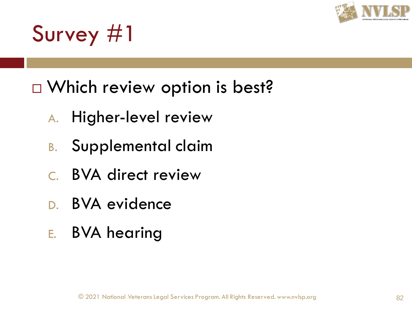

## Survey #1

- □ Which review option is best?
	- A. Higher-level review
	- B. Supplemental claim
	- C. BVA direct review
	- D. BVA evidence
	- E. BVA hearing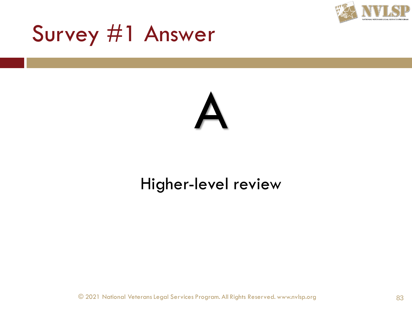

## Survey #1 Answer

# A

#### Higher-level review

© 2021 National Veterans Legal Services Program. All Rights Reserved. www.nvlsp.org 83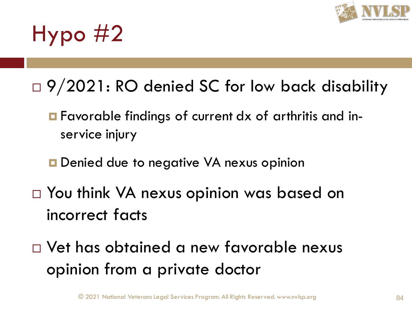

## Hypo #2

- □ 9/2021: RO denied SC for low back disability
	- Favorable findings of current dx of arthritis and inservice injury
	- **D** Denied due to negative VA nexus opinion
- □ You think VA nexus opinion was based on incorrect facts
- Vet has obtained a new favorable nexus opinion from a private doctor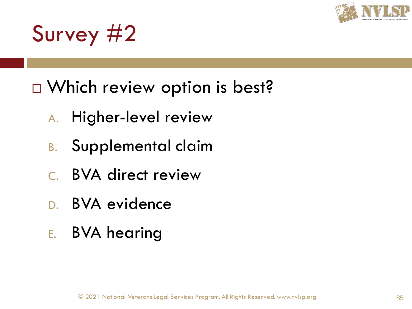

## Survey #2

- □ Which review option is best?
	- A. Higher-level review
	- B. Supplemental claim
	- C. BVA direct review
	- D. BVA evidence
	- E. BVA hearing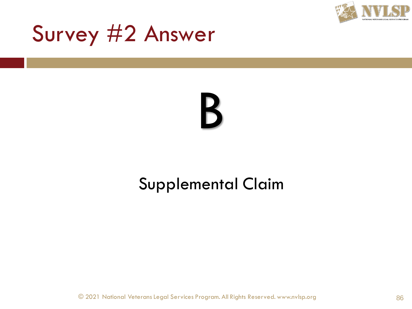

## Survey #2 Answer

## B

#### Supplemental Claim

© 2021 National Veterans Legal Services Program. All Rights Reserved. www.nvlsp.org 86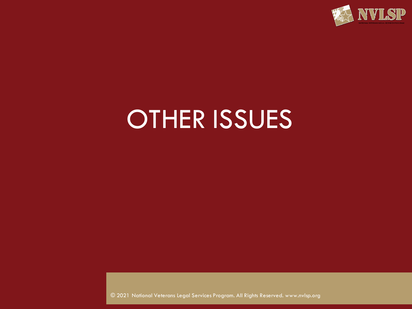

## OTHER ISSUES

© 2021 National Veterans Legal Services Program. All Rights Reserved. www.nvlsp.org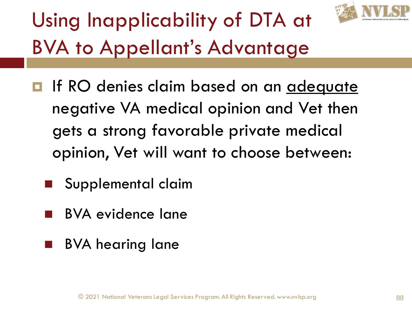

## Using Inapplicability of DTA at BVA to Appellant's Advantage

- **If RO** denies claim based on an adequate negative VA medical opinion and Vet then gets a strong favorable private medical opinion, Vet will want to choose between:
	- Supplemental claim
	- BVA evidence lane
	- BVA hearing lane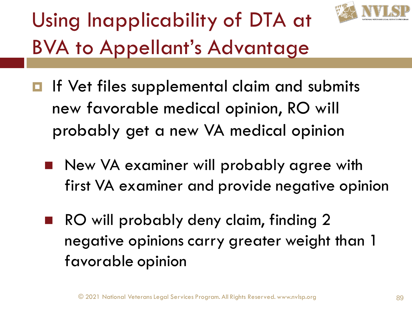

## Using Inapplicability of DTA at BVA to Appellant's Advantage

- $\blacksquare$  If Vet files supplemental claim and submits new favorable medical opinion, RO will probably get a new VA medical opinion
	- New VA examiner will probably agree with first VA examiner and provide negative opinion
	- RO will probably deny claim, finding 2 negative opinions carry greater weight than 1 favorable opinion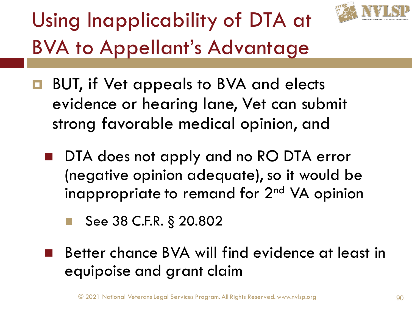

## Using Inapplicability of DTA at BVA to Appellant's Advantage

- **BUT, if Vet appeals to BVA and elects** evidence or hearing lane, Vet can submit strong favorable medical opinion, and
	- DTA does not apply and no RO DTA error (negative opinion adequate), so it would be inappropriate to remand for 2<sup>nd</sup> VA opinion
		- See 38 C.F.R. § 20.802
	- Better chance BVA will find evidence at least in equipoise and grant claim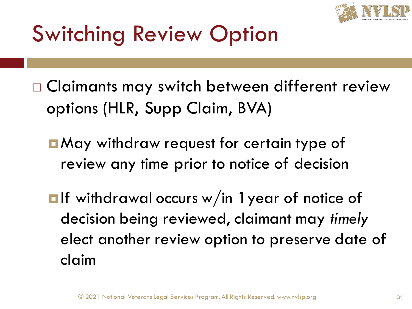

## Switching Review Option

- □ Claimants may switch between different review options (HLR, Supp Claim, BVA)
	- May withdraw request for certain type of review any time prior to notice of decision
	- $\blacksquare$ If withdrawal occurs w/in 1 year of notice of decision being reviewed, claimant may *timely* elect another review option to preserve date of claim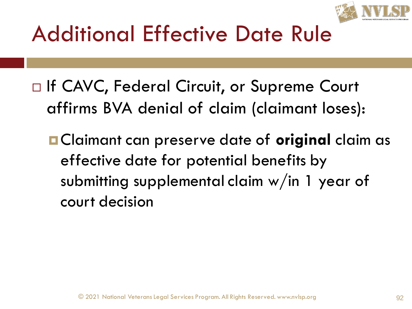

## Additional Effective Date Rule

- □ If CAVC, Federal Circuit, or Supreme Court affirms BVA denial of claim (claimant loses):
	- Claimant can preserve date of **original** claim as effective date for potential benefits by submitting supplemental claim w/in 1 year of court decision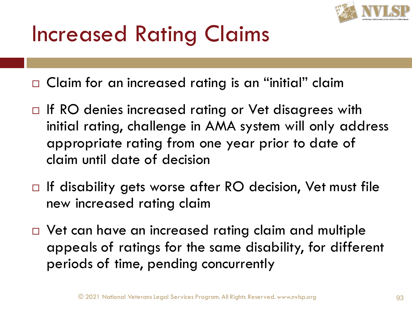

## Increased Rating Claims

□ Claim for an increased rating is an "initial" claim

- $\Box$  If RO denies increased rating or Vet disagrees with initial rating, challenge in AMA system will only address appropriate rating from one year prior to date of claim until date of decision
- $\Box$  If disability gets worse after RO decision, Vet must file new increased rating claim
- $\Box$  Vet can have an increased rating claim and multiple appeals of ratings for the same disability, for different periods of time, pending concurrently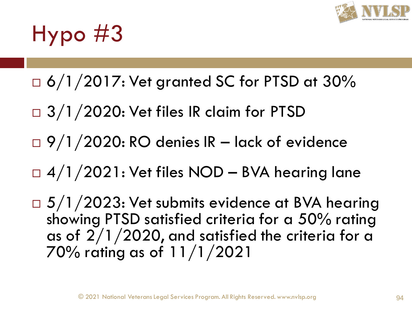

## Hypo #3

- $\Box$  6/1/2017: Vet granted SC for PTSD at 30%
- $\Box$  3/1/2020: Vet files IR claim for PTSD
- $\Box$  9/1/2020: RO denies IR lack of evidence
- $\Box$  4/1/2021: Vet files NOD BVA hearing lane
- $\Box$  5/1/2023: Vet submits evidence at BVA hearing showing PTSD satisfied criteria for a 50% rating as of  $2/1/2020$ , and satisfied the criteria for a 70% rating as of 11/1/2021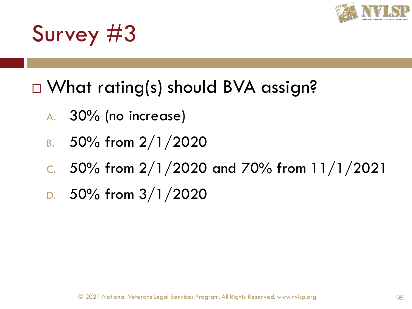

## Survey #3

#### □ What rating(s) should BVA assign?

- A. 30% (no increase)
- B.  $50\%$  from  $2/1/2020$
- C. 50% from  $2/1/2020$  and 70% from  $11/1/2021$
- D.  $50\%$  from  $3/1/2020$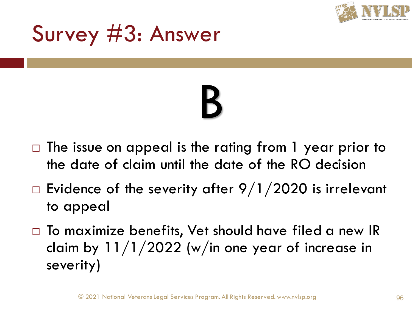

## Survey #3: Answer

# B

- $\Box$  The issue on appeal is the rating from 1 year prior to the date of claim until the date of the RO decision
- $\Box$  Evidence of the severity after 9/1/2020 is irrelevant to appeal
- $\Box$  To maximize benefits, Vet should have filed a new IR claim by  $11/1/2022$  (w/in one year of increase in severity)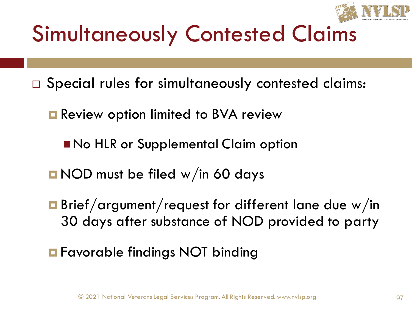

## Simultaneously Contested Claims

- □ Special rules for simultaneously contested claims:
	- **Review option limited to BVA review** 
		- No HLR or Supplemental Claim option
	- **NOD** must be filed w/in 60 days
	- **Brief/argument/request for different lane due w/in** 30 days after substance of NOD provided to party
	- **Favorable findings NOT binding**